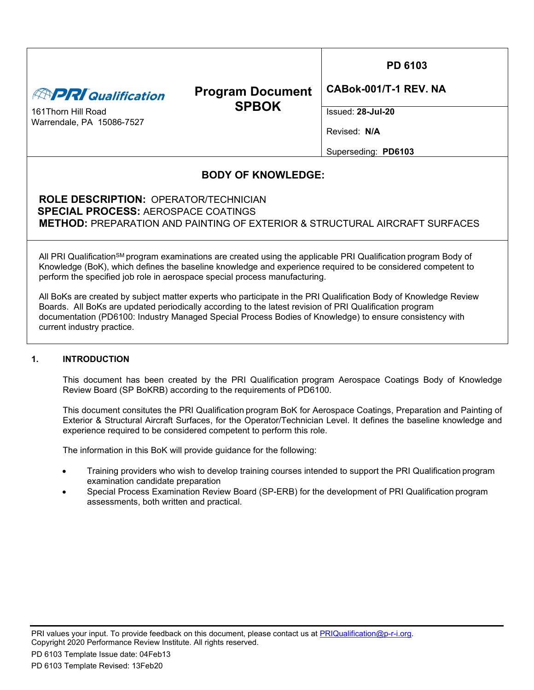| <b>APRI Qualification</b><br>161 Thorn Hill Road<br>Warrendale, PA 15086-7527                                                                                                                                                                                                                                                                                                                                                                                                                                                                                                                                                                                      | <b>Program Document</b><br><b>SPBOK</b> | PD 6103<br>CABok-001/T-1 REV. NA<br>$Issued: 28-Jul-20$<br>Revised: N/A<br>Superseding: PD6103 |  |  |  |
|--------------------------------------------------------------------------------------------------------------------------------------------------------------------------------------------------------------------------------------------------------------------------------------------------------------------------------------------------------------------------------------------------------------------------------------------------------------------------------------------------------------------------------------------------------------------------------------------------------------------------------------------------------------------|-----------------------------------------|------------------------------------------------------------------------------------------------|--|--|--|
| <b>BODY OF KNOWLEDGE:</b><br><b>ROLE DESCRIPTION: OPERATOR/TECHNICIAN</b><br><b>SPECIAL PROCESS: AEROSPACE COATINGS</b><br><b>METHOD: PREPARATION AND PAINTING OF EXTERIOR &amp; STRUCTURAL AIRCRAFT SURFACES</b>                                                                                                                                                                                                                                                                                                                                                                                                                                                  |                                         |                                                                                                |  |  |  |
| All PRI Qualification <sup>SM</sup> program examinations are created using the applicable PRI Qualification program Body of<br>Knowledge (BoK), which defines the baseline knowledge and experience required to be considered competent to<br>perform the specified job role in aerospace special process manufacturing.<br>All BoKs are created by subject matter experts who participate in the PRI Qualification Body of Knowledge Review<br>Boards. All BoKs are updated periodically according to the latest revision of PRI Qualification program<br>documentation (PD6100: Industry Managed Special Process Bodies of Knowledge) to ensure consistency with |                                         |                                                                                                |  |  |  |

## **1. INTRODUCTION**

This document has been created by the PRI Qualification program Aerospace Coatings Body of Knowledge Review Board (SP BoKRB) according to the requirements of PD6100.

This document consitutes the PRI Qualification program BoK for Aerospace Coatings, Preparation and Painting of Exterior & Structural Aircraft Surfaces, for the Operator/Technician Level. It defines the baseline knowledge and experience required to be considered competent to perform this role.

The information in this BoK will provide guidance for the following:

- Training providers who wish to develop training courses intended to support the PRI Qualification program examination candidate preparation
- Special Process Examination Review Board (SP-ERB) for the development of PRI Qualification program assessments, both written and practical.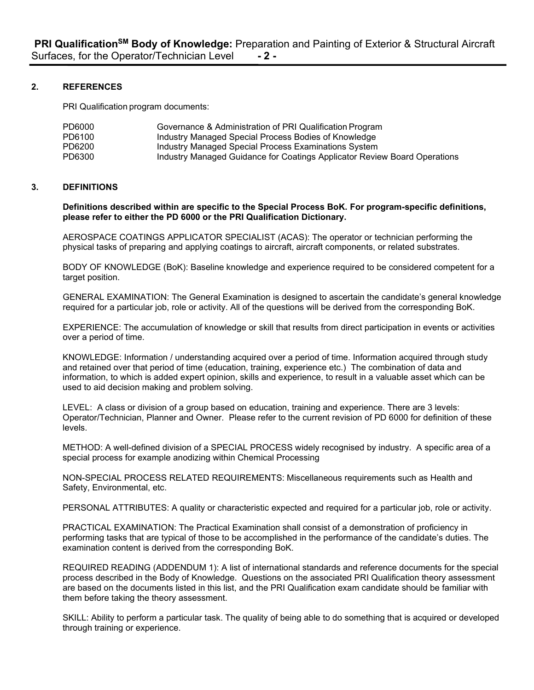## **2. REFERENCES**

PRI Qualification program documents:

| PD6000 | Governance & Administration of PRI Qualification Program                  |
|--------|---------------------------------------------------------------------------|
| PD6100 | Industry Managed Special Process Bodies of Knowledge                      |
| PD6200 | Industry Managed Special Process Examinations System                      |
| PD6300 | Industry Managed Guidance for Coatings Applicator Review Board Operations |

### **3. DEFINITIONS**

**Definitions described within are specific to the Special Process BoK. For program-specific definitions, please refer to either the PD 6000 or the PRI Qualification Dictionary.**

AEROSPACE COATINGS APPLICATOR SPECIALIST (ACAS): The operator or technician performing the physical tasks of preparing and applying coatings to aircraft, aircraft components, or related substrates.

BODY OF KNOWLEDGE (BoK): Baseline knowledge and experience required to be considered competent for a target position.

GENERAL EXAMINATION: The General Examination is designed to ascertain the candidate's general knowledge required for a particular job, role or activity. All of the questions will be derived from the corresponding BoK.

EXPERIENCE: The accumulation of knowledge or skill that results from direct participation in events or activities over a period of time.

KNOWLEDGE: Information / understanding acquired over a period of time. Information acquired through study and retained over that period of time (education, training, experience etc.) The combination of data and information, to which is added expert opinion, skills and experience, to result in a valuable asset which can be used to aid decision making and problem solving.

LEVEL: A class or division of a group based on education, training and experience. There are 3 levels: Operator/Technician, Planner and Owner. Please refer to the current revision of PD 6000 for definition of these levels.

METHOD: A well-defined division of a SPECIAL PROCESS widely recognised by industry. A specific area of a special process for example anodizing within Chemical Processing

NON-SPECIAL PROCESS RELATED REQUIREMENTS: Miscellaneous requirements such as Health and Safety, Environmental, etc.

PERSONAL ATTRIBUTES: A quality or characteristic expected and required for a particular job, role or activity.

PRACTICAL EXAMINATION: The Practical Examination shall consist of a demonstration of proficiency in performing tasks that are typical of those to be accomplished in the performance of the candidate's duties. The examination content is derived from the corresponding BoK.

REQUIRED READING (ADDENDUM 1): A list of international standards and reference documents for the special process described in the Body of Knowledge. Questions on the associated PRI Qualification theory assessment are based on the documents listed in this list, and the PRI Qualification exam candidate should be familiar with them before taking the theory assessment.

SKILL: Ability to perform a particular task. The quality of being able to do something that is acquired or developed through training or experience.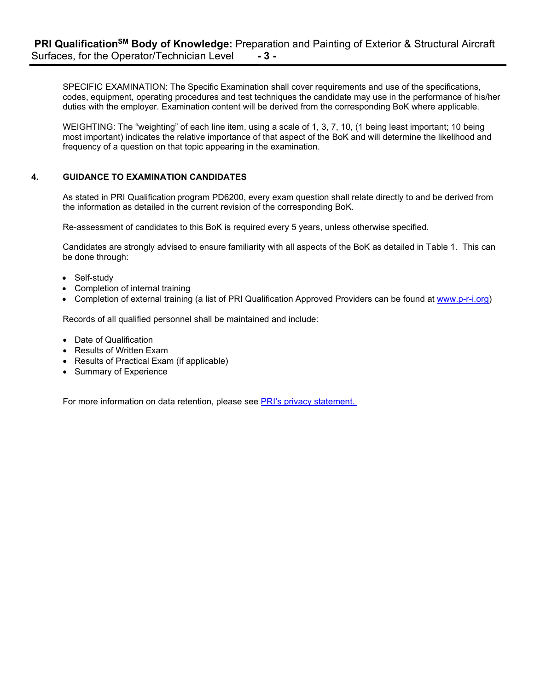SPECIFIC EXAMINATION: The Specific Examination shall cover requirements and use of the specifications, codes, equipment, operating procedures and test techniques the candidate may use in the performance of his/her duties with the employer. Examination content will be derived from the corresponding BoK where applicable.

WEIGHTING: The "weighting" of each line item, using a scale of 1, 3, 7, 10, (1 being least important; 10 being most important) indicates the relative importance of that aspect of the BoK and will determine the likelihood and frequency of a question on that topic appearing in the examination.

## **4. GUIDANCE TO EXAMINATION CANDIDATES**

As stated in PRI Qualification program PD6200, every exam question shall relate directly to and be derived from the information as detailed in the current revision of the corresponding BoK.

Re-assessment of candidates to this BoK is required every 5 years, unless otherwise specified.

Candidates are strongly advised to ensure familiarity with all aspects of the BoK as detailed in Table 1. This can be done through:

- Self-study
- Completion of internal training
- Completion of external training (a list of PRI Qualification Approved Providers can be found at [www.p-r-i.org\)](http://www.p-r-i.org/)

Records of all qualified personnel shall be maintained and include:

- Date of Qualification
- Results of Written Exam
- Results of Practical Exam (if applicable)
- Summary of Experience

For more information on data retention, please see PRI's privacy statement.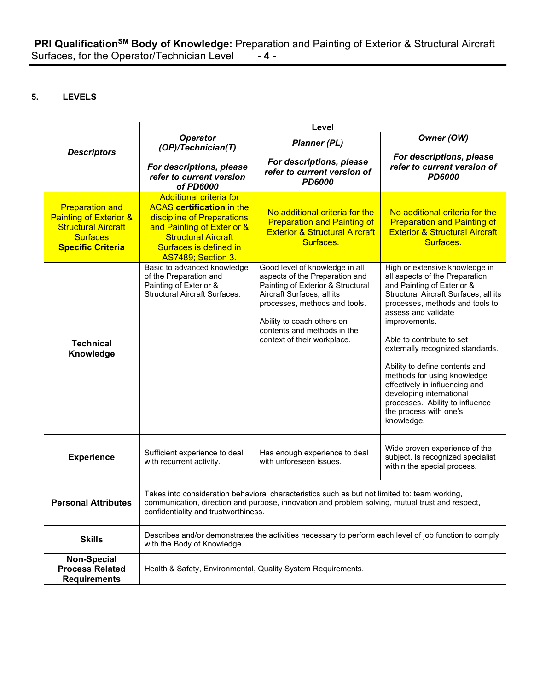# **5. LEVELS**

|                                                                                                                                          | Level                                                                                                                                                                                                                                    |                                                                                                                                                                                                                                                                  |                                                                                                                                                                                                                                                                                                                                                                                                                                                                                               |  |  |
|------------------------------------------------------------------------------------------------------------------------------------------|------------------------------------------------------------------------------------------------------------------------------------------------------------------------------------------------------------------------------------------|------------------------------------------------------------------------------------------------------------------------------------------------------------------------------------------------------------------------------------------------------------------|-----------------------------------------------------------------------------------------------------------------------------------------------------------------------------------------------------------------------------------------------------------------------------------------------------------------------------------------------------------------------------------------------------------------------------------------------------------------------------------------------|--|--|
|                                                                                                                                          | <b>Operator</b><br>(OP)/Technician(T)                                                                                                                                                                                                    | <b>Planner (PL)</b>                                                                                                                                                                                                                                              | Owner (OW)                                                                                                                                                                                                                                                                                                                                                                                                                                                                                    |  |  |
| <b>Descriptors</b>                                                                                                                       | For descriptions, please<br>refer to current version<br>of PD6000                                                                                                                                                                        | For descriptions, please<br>refer to current version of<br><b>PD6000</b>                                                                                                                                                                                         | For descriptions, please<br>refer to current version of<br><b>PD6000</b>                                                                                                                                                                                                                                                                                                                                                                                                                      |  |  |
| <b>Preparation and</b><br><b>Painting of Exterior &amp;</b><br><b>Structural Aircraft</b><br><b>Surfaces</b><br><b>Specific Criteria</b> | <b>Additional criteria for</b><br><b>ACAS</b> certification in the<br>discipline of Preparations<br>and Painting of Exterior &<br><b>Structural Aircraft</b><br>Surfaces is defined in<br>AS7489; Section 3.                             | No additional criteria for the<br><b>Preparation and Painting of</b><br><b>Exterior &amp; Structural Aircraft</b><br>Surfaces.                                                                                                                                   | No additional criteria for the<br><b>Preparation and Painting of</b><br><b>Exterior &amp; Structural Aircraft</b><br>Surfaces.                                                                                                                                                                                                                                                                                                                                                                |  |  |
| <b>Technical</b><br>Knowledge                                                                                                            | Basic to advanced knowledge<br>of the Preparation and<br>Painting of Exterior &<br><b>Structural Aircraft Surfaces.</b>                                                                                                                  | Good level of knowledge in all<br>aspects of the Preparation and<br>Painting of Exterior & Structural<br>Aircraft Surfaces, all its<br>processes, methods and tools.<br>Ability to coach others on<br>contents and methods in the<br>context of their workplace. | High or extensive knowledge in<br>all aspects of the Preparation<br>and Painting of Exterior &<br>Structural Aircraft Surfaces, all its<br>processes, methods and tools to<br>assess and validate<br>improvements.<br>Able to contribute to set<br>externally recognized standards.<br>Ability to define contents and<br>methods for using knowledge<br>effectively in influencing and<br>developing international<br>processes. Ability to influence<br>the process with one's<br>knowledge. |  |  |
| <b>Experience</b>                                                                                                                        | Sufficient experience to deal<br>with recurrent activity.                                                                                                                                                                                | Has enough experience to deal<br>with unforeseen issues.                                                                                                                                                                                                         | Wide proven experience of the<br>subject. Is recognized specialist<br>within the special process.                                                                                                                                                                                                                                                                                                                                                                                             |  |  |
| <b>Personal Attributes</b>                                                                                                               | Takes into consideration behavioral characteristics such as but not limited to: team working,<br>communication, direction and purpose, innovation and problem solving, mutual trust and respect,<br>confidentiality and trustworthiness. |                                                                                                                                                                                                                                                                  |                                                                                                                                                                                                                                                                                                                                                                                                                                                                                               |  |  |
| <b>Skills</b>                                                                                                                            | with the Body of Knowledge                                                                                                                                                                                                               | Describes and/or demonstrates the activities necessary to perform each level of job function to comply                                                                                                                                                           |                                                                                                                                                                                                                                                                                                                                                                                                                                                                                               |  |  |
| <b>Non-Special</b><br><b>Process Related</b><br><b>Requirements</b>                                                                      | Health & Safety, Environmental, Quality System Requirements.                                                                                                                                                                             |                                                                                                                                                                                                                                                                  |                                                                                                                                                                                                                                                                                                                                                                                                                                                                                               |  |  |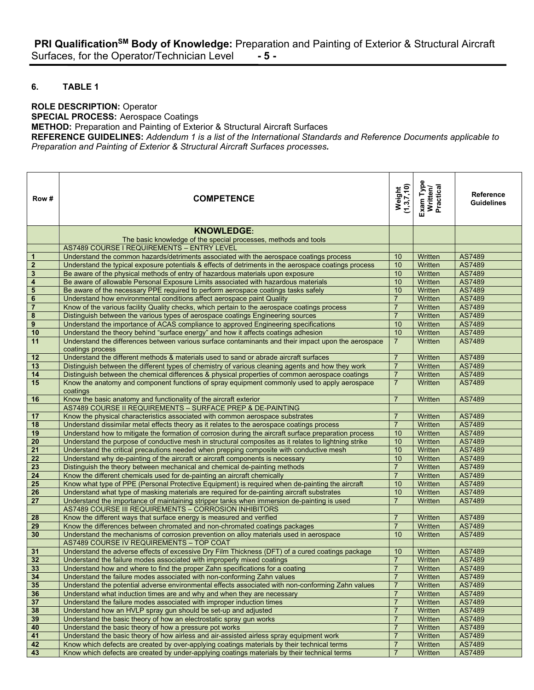## **6. TABLE 1**

#### **ROLE DESCRIPTION:** Operator

**SPECIAL PROCESS:** Aerospace Coatings

**METHOD:** Preparation and Painting of Exterior & Structural Aircraft Surfaces

**REFERENCE GUIDELINES:** *Addendum 1 is a list of the International Standards and Reference Documents applicable to Preparation and Painting of Exterior & Structural Aircraft Surfaces processes.*

| Row #                   | <b>COMPETENCE</b>                                                                                                                                                          | Weight<br>(1,3,7,10) | Exam Type<br>Written/<br>Practical | <b>Reference</b><br><b>Guidelines</b> |
|-------------------------|----------------------------------------------------------------------------------------------------------------------------------------------------------------------------|----------------------|------------------------------------|---------------------------------------|
|                         | <b>KNOWLEDGE:</b>                                                                                                                                                          |                      |                                    |                                       |
|                         | The basic knowledge of the special processes, methods and tools                                                                                                            |                      |                                    |                                       |
|                         | <b>AS7489 COURSE I REQUIREMENTS - ENTRY LEVEL</b>                                                                                                                          |                      |                                    |                                       |
| $\mathbf{1}$            | Understand the common hazards/detriments associated with the aerospace coatings process                                                                                    | 10                   | Written                            | AS7489                                |
| $\boldsymbol{2}$        | Understand the typical exposure potentials & effects of detriments in the aerospace coatings process                                                                       | 10                   | Written                            | AS7489                                |
| $\mathbf 3$             | Be aware of the physical methods of entry of hazardous materials upon exposure                                                                                             | 10                   | Written                            | AS7489                                |
| $\overline{\mathbf{4}}$ | Be aware of allowable Personal Exposure Limits associated with hazardous materials                                                                                         | 10                   | Written                            | AS7489                                |
| $\overline{\mathbf{5}}$ | Be aware of the necessary PPE required to perform aerospace coatings tasks safely                                                                                          | 10                   | Written                            | AS7489                                |
| $\bf 6$                 | Understand how environmental conditions affect aerospace paint Quality                                                                                                     | $\overline{7}$       | Written                            | AS7489                                |
| $\overline{7}$          | Know of the various facility Quality checks, which pertain to the aerospace coatings process                                                                               | $\overline{7}$       | Written                            | AS7489                                |
| $\pmb{8}$               | Distinguish between the various types of aerospace coatings Engineering sources                                                                                            | $\overline{7}$       | Written                            | AS7489                                |
| $\pmb{9}$               | Understand the importance of ACAS compliance to approved Engineering specifications                                                                                        | 10                   | Written                            | AS7489                                |
| 10                      | Understand the theory behind "surface energy" and how it affects coatings adhesion                                                                                         | 10                   | Written                            | AS7489                                |
| 11                      | Understand the differences between various surface contaminants and their impact upon the aerospace<br>coatings process                                                    | $\overline{7}$       | Written                            | AS7489                                |
| 12                      | Understand the different methods & materials used to sand or abrade aircraft surfaces                                                                                      | $\overline{7}$       | Written                            | AS7489                                |
| 13                      | Distinguish between the different types of chemistry of various cleaning agents and how they work                                                                          | $\overline{7}$       | Written                            | AS7489                                |
| 14                      | Distinguish between the chemical differences & physical properties of common aerospace coatings                                                                            | $\overline{7}$       | Written                            | AS7489                                |
| 15                      | Know the anatomy and component functions of spray equipment commonly used to apply aerospace<br>coatings                                                                   | $\overline{7}$       | Written                            | AS7489                                |
| 16                      | Know the basic anatomy and functionality of the aircraft exterior                                                                                                          | $\overline{7}$       | Written                            | AS7489                                |
|                         | AS7489 COURSE II REQUIREMENTS - SURFACE PREP & DE-PAINTING                                                                                                                 |                      |                                    |                                       |
| 17                      | Know the physical characteristics associated with common aerospace substrates                                                                                              | $\overline{7}$       | Written                            | AS7489                                |
| 18                      | Understand dissimilar metal effects theory as it relates to the aerospace coatings process                                                                                 | $\overline{7}$       | Written                            | AS7489                                |
| 19                      | Understand how to mitigate the formation of corrosion during the aircraft surface preparation process                                                                      | 10                   | Written                            | AS7489                                |
| $\overline{20}$         | Understand the purpose of conductive mesh in structural composites as it relates to lightning strike                                                                       | 10                   | Written                            | AS7489                                |
| $\overline{21}$         | Understand the critical precautions needed when prepping composite with conductive mesh                                                                                    | 10                   | Written                            | AS7489                                |
| 22                      | Understand why de-painting of the aircraft or aircraft components is necessary                                                                                             | 10                   | Written                            | AS7489                                |
| $\overline{23}$         | Distinguish the theory between mechanical and chemical de-painting methods                                                                                                 | $\overline{7}$       | Written                            | AS7489                                |
| 24                      | Know the different chemicals used for de-painting an aircraft chemically                                                                                                   | $\overline{7}$       | Written                            | AS7489                                |
| $\overline{25}$         | Know what type of PPE (Personal Protective Equipment) is required when de-painting the aircraft                                                                            | 10                   | Written                            | AS7489                                |
| 26                      | Understand what type of masking materials are required for de-painting aircraft substrates                                                                                 | 10                   | Written                            | AS7489                                |
| 27                      | Understand the importance of maintaining stripper tanks when immersion de-painting is used                                                                                 | $\overline{7}$       | Written                            | AS7489                                |
|                         | AS7489 COURSE III REQUIREMENTS - CORROSION INHIBITORS                                                                                                                      |                      |                                    |                                       |
| 28                      | Know the different ways that surface energy is measured and verified                                                                                                       | $\overline{7}$       | Written                            | AS7489                                |
| 29                      | Know the differences between chromated and non-chromated coatings packages                                                                                                 | $\overline{7}$       | Written                            | AS7489                                |
| 30                      | Understand the mechanisms of corrosion prevention on alloy materials used in aerospace                                                                                     | 10                   | Written                            | AS7489                                |
|                         | AS7489 COURSE IV REQUIREMENTS - TOP COAT                                                                                                                                   |                      |                                    |                                       |
| 31<br>32                | Understand the adverse effects of excessive Dry Film Thickness (DFT) of a cured coatings package<br>Understand the failure modes associated with improperly mixed coatings | 10<br>$\overline{7}$ | Written<br>Written                 | AS7489<br>AS7489                      |
| 33                      | Understand how and where to find the proper Zahn specifications for a coating                                                                                              | $\overline{7}$       | Written                            | AS7489                                |
| 34                      | Understand the failure modes associated with non-conforming Zahn values                                                                                                    | $\overline{7}$       | Written                            | AS7489                                |
| 35                      | Understand the potential adverse environmental effects associated with non-conforming Zahn values                                                                          | $\overline{7}$       | Written                            | AS7489                                |
| 36                      | Understand what induction times are and why and when they are necessary                                                                                                    | $\overline{7}$       | Written                            | AS7489                                |
| 37                      | Understand the failure modes associated with improper induction times                                                                                                      | $\overline{7}$       | Written                            | AS7489                                |
| 38                      | Understand how an HVLP spray gun should be set-up and adjusted                                                                                                             | $\overline{7}$       | Written                            | AS7489                                |
| 39                      | Understand the basic theory of how an electrostatic spray gun works                                                                                                        | $\overline{7}$       | Written                            | AS7489                                |
| 40                      | Understand the basic theory of how a pressure pot works                                                                                                                    | $\overline{7}$       | Written                            | AS7489                                |
| 41                      | Understand the basic theory of how airless and air-assisted airless spray equipment work                                                                                   | $\overline{7}$       | Written                            | AS7489                                |
| 42                      | Know which defects are created by over-applying coatings materials by their technical terms                                                                                | $\overline{7}$       | Written                            | AS7489                                |
| 43                      | Know which defects are created by under-applying coatings materials by their technical terms                                                                               | $\overline{7}$       | Written                            | AS7489                                |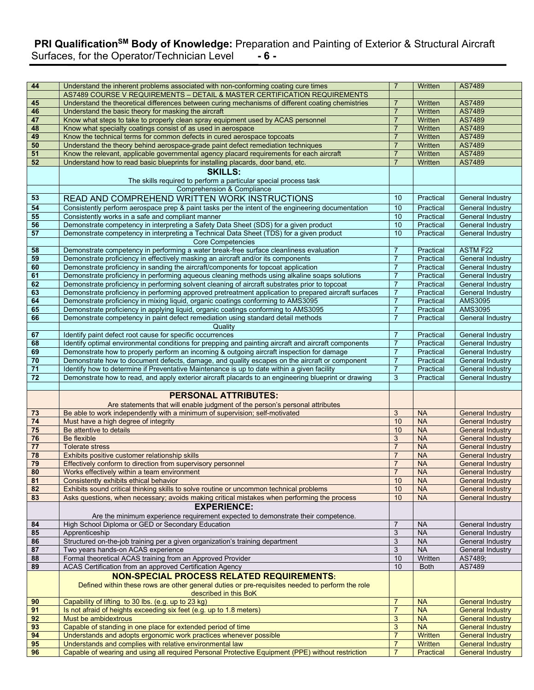# **PRI QualificationSM Body of Knowledge:** Preparation and Painting of Exterior & Structural Aircraft Surfaces, for the Operator/Technician Level **- 6 -**

| 44                    | Understand the inherent problems associated with non-conforming coating cure times                                                                                                                | $\overline{7}$                   | Written                | AS7489                                             |
|-----------------------|---------------------------------------------------------------------------------------------------------------------------------------------------------------------------------------------------|----------------------------------|------------------------|----------------------------------------------------|
|                       | AS7489 COURSE V REQUIREMENTS - DETAIL & MASTER CERTIFICATION REQUIREMENTS                                                                                                                         |                                  |                        |                                                    |
| 45                    | Understand the theoretical differences between curing mechanisms of different coating chemistries                                                                                                 | $\overline{7}$                   | Written                | AS7489                                             |
| 46                    | Understand the basic theory for masking the aircraft                                                                                                                                              | $\overline{7}$                   | Written                | AS7489                                             |
| 47                    | Know what steps to take to properly clean spray equipment used by ACAS personnel                                                                                                                  | $\overline{7}$                   | Written                | AS7489                                             |
| 48                    | Know what specialty coatings consist of as used in aerospace                                                                                                                                      | $\overline{7}$                   | Written                | AS7489                                             |
| 49                    | Know the technical terms for common defects in cured aerospace topcoats                                                                                                                           | $\overline{7}$                   | Written                | AS7489                                             |
| 50                    | Understand the theory behind aerospace-grade paint defect remediation techniques                                                                                                                  | $\overline{7}$                   | Written                | AS7489                                             |
| 51                    | Know the relevant, applicable governmental agency placard requirements for each aircraft                                                                                                          | $\overline{7}$                   | Written                | AS7489                                             |
| 52                    | Understand how to read basic blueprints for installing placards, door band, etc.                                                                                                                  | $\overline{7}$                   | Written                | AS7489                                             |
|                       | <b>SKILLS:</b>                                                                                                                                                                                    |                                  |                        |                                                    |
|                       | The skills required to perform a particular special process task                                                                                                                                  |                                  |                        |                                                    |
|                       | Comprehension & Compliance                                                                                                                                                                        |                                  |                        |                                                    |
| 53                    | READ AND COMPREHEND WRITTEN WORK INSTRUCTIONS                                                                                                                                                     | 10 <sup>1</sup>                  | Practical              | General Industry                                   |
| 54                    | Consistently perform aerospace prep & paint tasks per the intent of the engineering documentation                                                                                                 | 10                               | Practical              | General Industry                                   |
| 55                    | Consistently works in a safe and compliant manner                                                                                                                                                 | 10                               | Practical              | General Industry                                   |
| 56<br>57              | Demonstrate competency in interpreting a Safety Data Sheet (SDS) for a given product                                                                                                              | 10<br>10                         | Practical              | <b>General Industry</b>                            |
|                       | Demonstrate competency in interpreting a Technical Data Sheet (TDS) for a given product<br><b>Core Competencies</b>                                                                               |                                  | Practical              | General Industry                                   |
| 58                    | Demonstrate competency in performing a water break-free surface cleanliness evaluation                                                                                                            | $\overline{7}$                   | Practical              | <b>ASTM F22</b>                                    |
| 59                    | Demonstrate proficiency in effectively masking an aircraft and/or its components                                                                                                                  | $\overline{7}$                   | Practical              | <b>General Industry</b>                            |
| 60                    | Demonstrate proficiency in sanding the aircraft/components for topcoat application                                                                                                                | $\overline{7}$                   | Practical              | <b>General Industry</b>                            |
| 61                    | Demonstrate proficiency in performing aqueous cleaning methods using alkaline soaps solutions                                                                                                     | $\overline{7}$                   | Practical              | <b>General Industry</b>                            |
| 62                    | Demonstrate proficiency in performing solvent cleaning of aircraft substrates prior to topcoat                                                                                                    | $\overline{7}$                   | Practical              | <b>General Industry</b>                            |
| 63                    | Demonstrate proficiency in performing approved pretreatment application to prepared aircraft surfaces                                                                                             | $\overline{7}$                   | Practical              | <b>General Industry</b>                            |
| 64                    | Demonstrate proficiency in mixing liquid, organic coatings conforming to AMS3095                                                                                                                  | $\overline{7}$                   | Practical              | <b>AMS3095</b>                                     |
| 65                    | Demonstrate proficiency in applying liquid, organic coatings conforming to AMS3095                                                                                                                | $\overline{7}$                   | Practical              | AMS3095                                            |
| 66                    | Demonstrate competency in paint defect remediation using standard detail methods                                                                                                                  | $\overline{7}$                   | Practical              | General Industry                                   |
|                       | Quality                                                                                                                                                                                           |                                  |                        |                                                    |
| 67                    | Identify paint defect root cause for specific occurrences                                                                                                                                         | $\overline{7}$                   | Practical              | <b>General Industry</b>                            |
| 68<br>69              | Identify optimal environmental conditions for prepping and painting aircraft and aircraft components<br>Demonstrate how to properly perform an incoming & outgoing aircraft inspection for damage | $\overline{7}$<br>$\overline{7}$ | Practical<br>Practical | <b>General Industry</b><br>General Industry        |
| 70                    | Demonstrate how to document defects, damage, and quality escapes on the aircraft or component                                                                                                     | $\overline{7}$                   | Practical              | General Industry                                   |
| $\overline{71}$       | Identify how to determine if Preventative Maintenance is up to date within a given facility                                                                                                       | $\overline{7}$                   | Practical              | <b>General Industry</b>                            |
| 72                    | Demonstrate how to read, and apply exterior aircraft placards to an engineering blueprint or drawing                                                                                              | 3                                | Practical              | General Industry                                   |
|                       |                                                                                                                                                                                                   |                                  |                        |                                                    |
|                       | <b>PERSONAL ATTRIBUTES:</b>                                                                                                                                                                       |                                  |                        |                                                    |
|                       | Are statements that will enable judgment of the person's personal attributes                                                                                                                      |                                  |                        |                                                    |
| 73                    | Be able to work independently with a minimum of supervision; self-motivated                                                                                                                       | 3                                | <b>NA</b>              | <b>General Industry</b>                            |
| 74                    | Must have a high degree of integrity                                                                                                                                                              | 10                               | <b>NA</b>              | <b>General Industry</b>                            |
| 75                    | Be attentive to details                                                                                                                                                                           | 10                               | <b>NA</b>              | <b>General Industry</b>                            |
| 76                    | Be flexible                                                                                                                                                                                       | 3                                | <b>NA</b>              | <b>General Industry</b>                            |
| 77                    | <b>Tolerate stress</b>                                                                                                                                                                            | $\overline{7}$                   | <b>NA</b>              | <b>General Industry</b>                            |
| $\overline{78}$<br>79 | Exhibits positive customer relationship skills<br>Effectively conform to direction from supervisory personnel                                                                                     | $\overline{7}$<br>$\overline{7}$ | <b>NA</b><br><b>NA</b> | <b>General Industry</b><br><b>General Industry</b> |
| 80                    | Works effectively within a team environment                                                                                                                                                       |                                  | <b>NA</b>              | General Industry                                   |
| 81                    | Consistently exhibits ethical behavior                                                                                                                                                            | 10                               | <b>NA</b>              | <b>General Industry</b>                            |
| 82                    | Exhibits sound critical thinking skills to solve routine or uncommon technical problems                                                                                                           | 10                               | <b>NA</b>              | <b>General Industry</b>                            |
| 83                    | Asks questions, when necessary; avoids making critical mistakes when performing the process                                                                                                       | 10                               | <b>NA</b>              | <b>General Industry</b>                            |
|                       | <b>EXPERIENCE:</b>                                                                                                                                                                                |                                  |                        |                                                    |
|                       | Are the minimum experience requirement expected to demonstrate their competence.                                                                                                                  |                                  |                        |                                                    |
| 84                    | High School Diploma or GED or Secondary Education                                                                                                                                                 | $\overline{7}$                   | <b>NA</b>              | General Industry                                   |
| 85                    | Apprenticeship                                                                                                                                                                                    | $\overline{3}$                   | <b>NA</b>              | General Industry                                   |
| 86                    | Structured on-the-job training per a given organization's training department                                                                                                                     | $\ensuremath{\mathsf{3}}$        | <b>NA</b>              | General Industry                                   |
| 87                    | Two years hands-on ACAS experience                                                                                                                                                                | 3                                | <b>NA</b>              | General Industry                                   |
| 88<br>89              | Formal theoretical ACAS training from an Approved Provider<br>ACAS Certification from an approved Certification Agency                                                                            | 10<br>10                         | Written<br><b>Both</b> | AS7489;<br>AS7489                                  |
|                       | <b>NON-SPECIAL PROCESS RELATED REQUIREMENTS:</b>                                                                                                                                                  |                                  |                        |                                                    |
|                       | Defined within these rows are other general duties or pre-requisites needed to perform the role                                                                                                   |                                  |                        |                                                    |
|                       |                                                                                                                                                                                                   |                                  |                        |                                                    |
|                       | described in this BoK                                                                                                                                                                             | $\overline{7}$                   |                        | <b>General Industry</b>                            |
| 90                    | Capability of lifting to 30 lbs. (e.g. up to 23 kg)<br>Is not afraid of heights exceeding six feet (e.g. up to 1.8 meters)                                                                        | $\overline{7}$                   | <b>NA</b><br><b>NA</b> | <b>General Industry</b>                            |
| 91<br>92              | Must be ambidextrous                                                                                                                                                                              | 3                                | <b>NA</b>              | <b>General Industry</b>                            |
| 93                    | Capable of standing in one place for extended period of time                                                                                                                                      | 3                                | <b>NA</b>              | <b>General Industry</b>                            |
| 94                    | Understands and adopts ergonomic work practices whenever possible                                                                                                                                 | $\overline{7}$                   | Written                | <b>General Industry</b>                            |
| 95<br>96              | Understands and complies with relative environmental law<br>Capable of wearing and using all required Personal Protective Equipment (PPE) without restriction                                     | $\overline{7}$<br>$\overline{7}$ | Written<br>Practical   | <b>General Industry</b><br><b>General Industry</b> |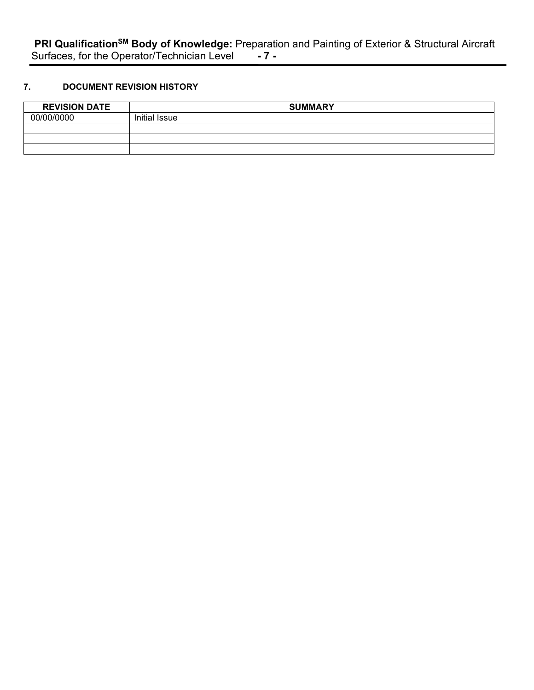# **7. DOCUMENT REVISION HISTORY**

| <b>REVISION DATE</b> | <b>SUMMARY</b> |
|----------------------|----------------|
| 00/00/0000           | Initial Issue  |
|                      |                |
|                      |                |
|                      |                |